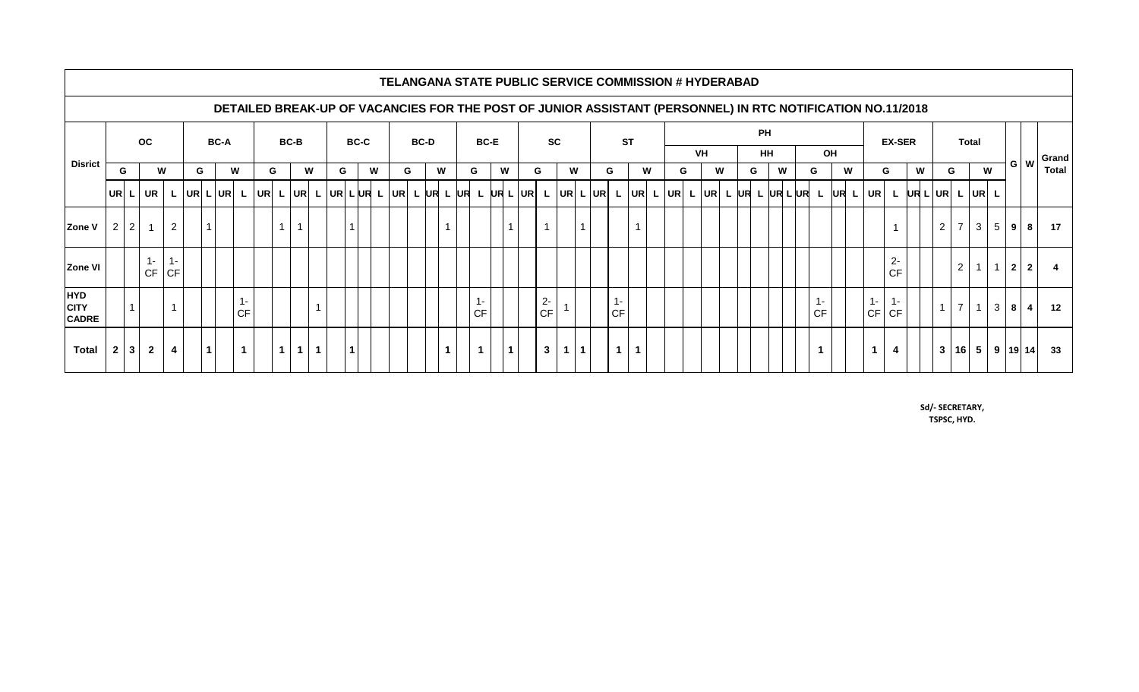|                                                                                                            |                |                |                |                |              |                   |   |                      |             |                |              |   |             |              |             |  |        |  |                |   |             |   |           |              |   |              |           | TELANGANA STATE PUBLIC SERVICE COMMISSION # HYDERABAD                                                       |   |           |  |        |    |           |  |   |   |    |      |               |       |                         |                                             |                |             |                 |                 |  |                |                 |
|------------------------------------------------------------------------------------------------------------|----------------|----------------|----------------|----------------|--------------|-------------------|---|----------------------|-------------|----------------|--------------|---|-------------|--------------|-------------|--|--------|--|----------------|---|-------------|---|-----------|--------------|---|--------------|-----------|-------------------------------------------------------------------------------------------------------------|---|-----------|--|--------|----|-----------|--|---|---|----|------|---------------|-------|-------------------------|---------------------------------------------|----------------|-------------|-----------------|-----------------|--|----------------|-----------------|
| DETAILED BREAK-UP OF VACANCIES FOR THE POST OF JUNIOR ASSISTANT (PERSONNEL) IN RTC NOTIFICATION NO.11/2018 |                |                |                |                |              |                   |   |                      |             |                |              |   |             |              |             |  |        |  |                |   |             |   |           |              |   |              |           |                                                                                                             |   |           |  |        |    |           |  |   |   |    |      |               |       |                         |                                             |                |             |                 |                 |  |                |                 |
| <b>Disrict</b>                                                                                             |                |                | <b>OC</b>      |                |              | <b>BC-A</b>       |   |                      | <b>BC-B</b> |                |              |   | <b>BC-C</b> |              | <b>BC-D</b> |  |        |  | <b>BC-E</b>    |   |             |   | <b>SC</b> |              |   |              | <b>ST</b> |                                                                                                             |   |           |  |        |    | <b>PH</b> |  |   |   |    |      | <b>EX-SER</b> |       |                         |                                             | <b>Total</b>   |             |                 |                 |  |                |                 |
|                                                                                                            |                |                |                |                |              |                   |   |                      |             |                |              |   |             |              |             |  |        |  |                |   |             |   |           |              |   |              | VH        |                                                                                                             |   | <b>HH</b> |  |        | OH |           |  |   |   |    |      |               |       |                         |                                             |                | GW          | Grand           |                 |  |                |                 |
|                                                                                                            | G              |                | W              |                | G            |                   | W |                      |             | G              |              | W | G.          | W            |             |  | W<br>G |  |                | G |             | W | G         |              | W |              |           | G                                                                                                           |   | W         |  | W<br>G |    | G         |  | W | G |    | W    |               | G.    |                         | W                                           |                | G           |                 | W               |  |                | <b>Total</b>    |
|                                                                                                            |                |                | UR L UR        |                | L  UR L UR L |                   |   |                      |             |                |              |   |             |              |             |  |        |  |                |   |             |   |           |              |   |              |           | UR  L UR  L UR  L UR  L UR  L UR  L UR  L UR  L UR  L UR  L UR  L UR  L UR  L UR  L UR  L UR  L UR  L UR  L |   |           |  |        |    |           |  |   |   |    | UR L |               |       |                         | $ UR $ $L$ $ UR $ $L$ $ UR $ $L$ $ UR $ $L$ |                |             |                 |                 |  |                |                 |
| Zone V                                                                                                     | $\overline{2}$ | 2 <sup>1</sup> | $\overline{1}$ | $\overline{2}$ |              |                   |   |                      |             | 1 <sup>1</sup> | $\mathbf{1}$ |   |             | $\mathbf{1}$ |             |  |        |  | $\overline{1}$ |   |             |   |           | $\mathbf{1}$ |   | $\mathbf{1}$ |           |                                                                                                             |   |           |  |        |    |           |  |   |   |    |      |               |       |                         |                                             | $\overline{2}$ |             | $7 \mid 3 \mid$ | 5 9             |  | 8              | 17              |
| <b>Zone VI</b>                                                                                             |                |                | $1 -$<br>CF    | $1 -$<br> CF   |              |                   |   |                      |             |                |              |   |             |              |             |  |        |  |                |   |             |   |           |              |   |              |           |                                                                                                             |   |           |  |        |    |           |  |   |   |    |      |               |       | $2-$<br><b>CF</b>       |                                             |                | $2^{\circ}$ | $\overline{1}$  | $1 \quad 2$     |  | $\overline{2}$ |                 |
| <b>HYD</b><br><b>CITY</b><br><b>CADRE</b>                                                                  |                | $\mathbf{1}$   |                | $\mathbf{1}$   |              |                   |   | <b>CF</b>            |             |                |              |   |             |              |             |  |        |  |                |   | <b>CF</b>   |   |           | $2 -$<br>CF  |   |              |           | $1 -$<br><b>CF</b>                                                                                          |   |           |  |        |    |           |  |   |   | СF |      |               | $1 -$ | $1 -$<br>$CF$ $CF$      |                                             | $\mathbf{1}$   |             |                 | $7$   1   3   8 |  | $\overline{4}$ | 12              |
| <b>Total</b>                                                                                               | $\overline{2}$ | 3 <sup>1</sup> | $\overline{2}$ | $\overline{4}$ |              | $\vert$ 1 $\vert$ |   | $\blacktriangleleft$ |             | 1 <sup>1</sup> | $1 \mid 1$   |   |             | $\mathbf 1$  |             |  |        |  | $\overline{1}$ |   | $\mathbf 1$ |   | $\vert$ 1 | $\mathbf{3}$ |   | 1 1          |           | $\mathbf 1$                                                                                                 | 1 |           |  |        |    |           |  |   |   |    |      |               | 1     | $\overline{\mathbf{4}}$ |                                             | $\mathbf{3}$   |             |                 | $16$ 5 9 19 14  |  |                | 33 <sup>°</sup> |

**Sd/- SECRETARY, TSPSC, HYD.**